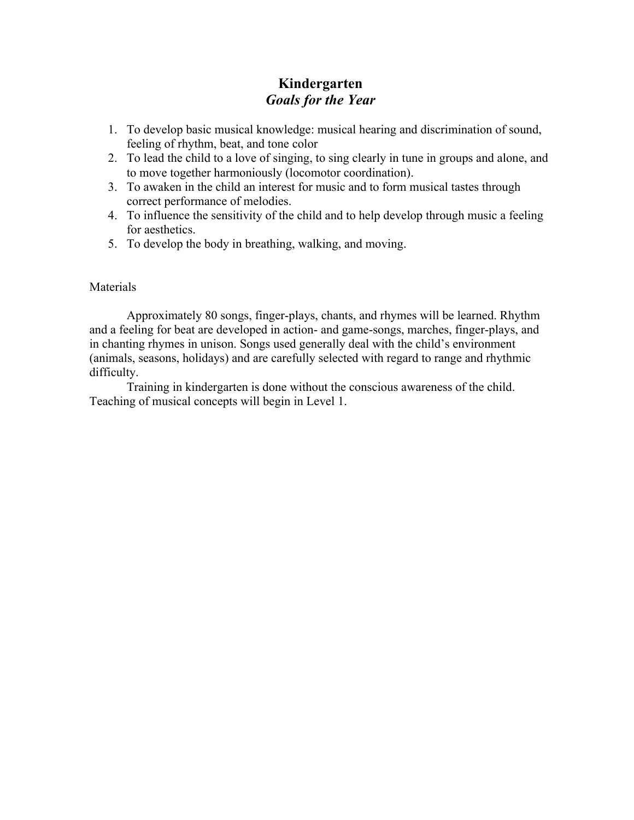#### **Kindergarten** *Goals for the Year*

- 1. To develop basic musical knowledge: musical hearing and discrimination of sound, feeling of rhythm, beat, and tone color
- 2. To lead the child to a love of singing, to sing clearly in tune in groups and alone, and to move together harmoniously (locomotor coordination).
- 3. To awaken in the child an interest for music and to form musical tastes through correct performance of melodies.
- 4. To influence the sensitivity of the child and to help develop through music a feeling for aesthetics.
- 5. To develop the body in breathing, walking, and moving.

#### **Materials**

Approximately 80 songs, finger-plays, chants, and rhymes will be learned. Rhythm and a feeling for beat are developed in action- and game-songs, marches, finger-plays, and in chanting rhymes in unison. Songs used generally deal with the child's environment (animals, seasons, holidays) and are carefully selected with regard to range and rhythmic difficulty.

Training in kindergarten is done without the conscious awareness of the child. Teaching of musical concepts will begin in Level 1.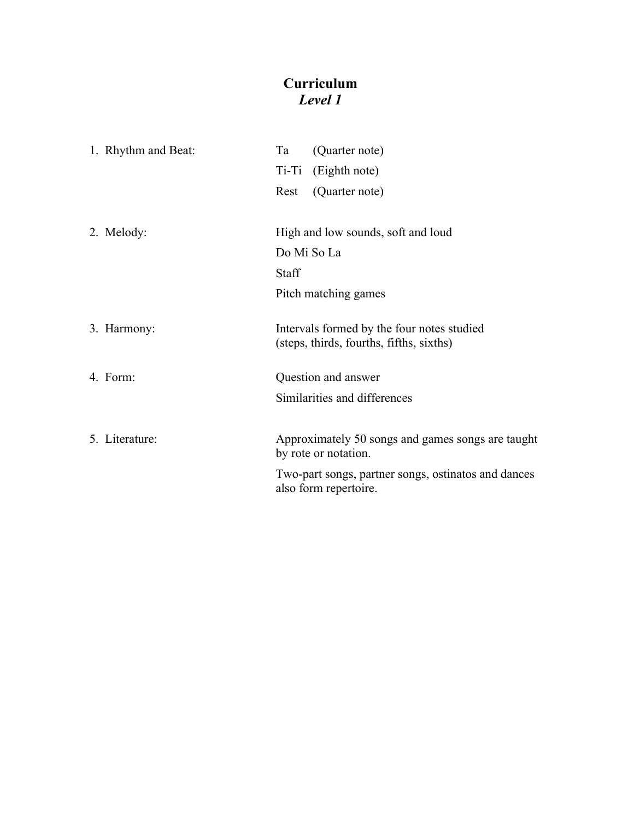## **Curriculum** *Level 1*

|  | 1. Rhythm and Beat: | Ta           | (Quarter note)                                                                                                                                            |
|--|---------------------|--------------|-----------------------------------------------------------------------------------------------------------------------------------------------------------|
|  |                     |              | Ti-Ti (Eighth note)                                                                                                                                       |
|  |                     | Rest         | (Quarter note)                                                                                                                                            |
|  |                     |              |                                                                                                                                                           |
|  | 2. Melody:          |              | High and low sounds, soft and loud                                                                                                                        |
|  |                     | Do Mi So La  |                                                                                                                                                           |
|  |                     | <b>Staff</b> |                                                                                                                                                           |
|  |                     |              | Pitch matching games                                                                                                                                      |
|  | 3. Harmony:         |              | Intervals formed by the four notes studied<br>(steps, thirds, fourths, fifths, sixths)                                                                    |
|  | 4. Form:            |              | Question and answer                                                                                                                                       |
|  |                     |              | Similarities and differences                                                                                                                              |
|  | 5. Literature:      |              | Approximately 50 songs and games songs are taught<br>by rote or notation.<br>Two-part songs, partner songs, ostinatos and dances<br>also form repertoire. |
|  |                     |              |                                                                                                                                                           |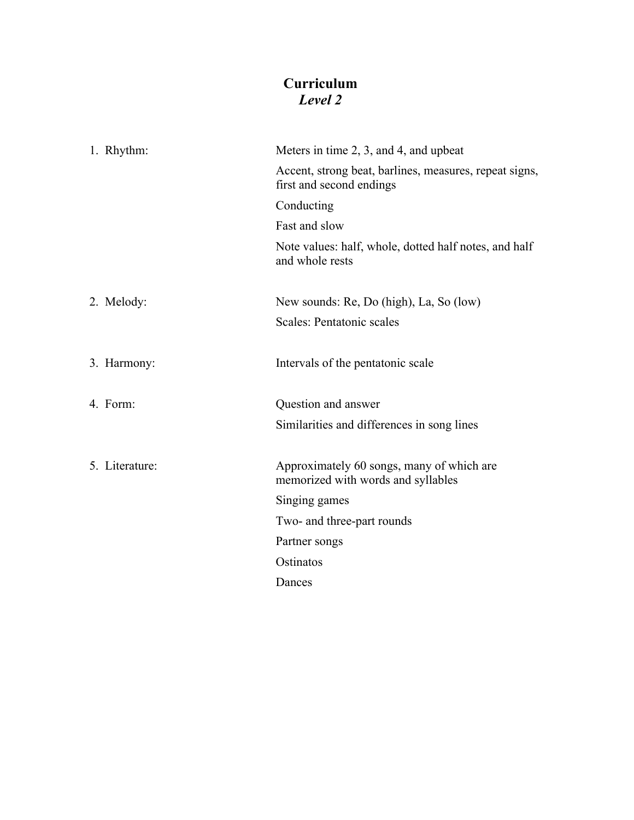## **Curriculum** *Level 2*

| 1. Rhythm:     | Meters in time 2, 3, and 4, and upbeat                                             |
|----------------|------------------------------------------------------------------------------------|
|                | Accent, strong beat, barlines, measures, repeat signs,<br>first and second endings |
|                | Conducting                                                                         |
|                | Fast and slow                                                                      |
|                | Note values: half, whole, dotted half notes, and half<br>and whole rests           |
| 2. Melody:     | New sounds: Re, Do (high), La, So (low)                                            |
|                | Scales: Pentatonic scales                                                          |
| 3. Harmony:    | Intervals of the pentatonic scale                                                  |
| 4. Form:       | Question and answer                                                                |
|                | Similarities and differences in song lines                                         |
| 5. Literature: | Approximately 60 songs, many of which are<br>memorized with words and syllables    |
|                | Singing games                                                                      |
|                | Two- and three-part rounds                                                         |
|                | Partner songs                                                                      |
|                | Ostinatos                                                                          |
|                | Dances                                                                             |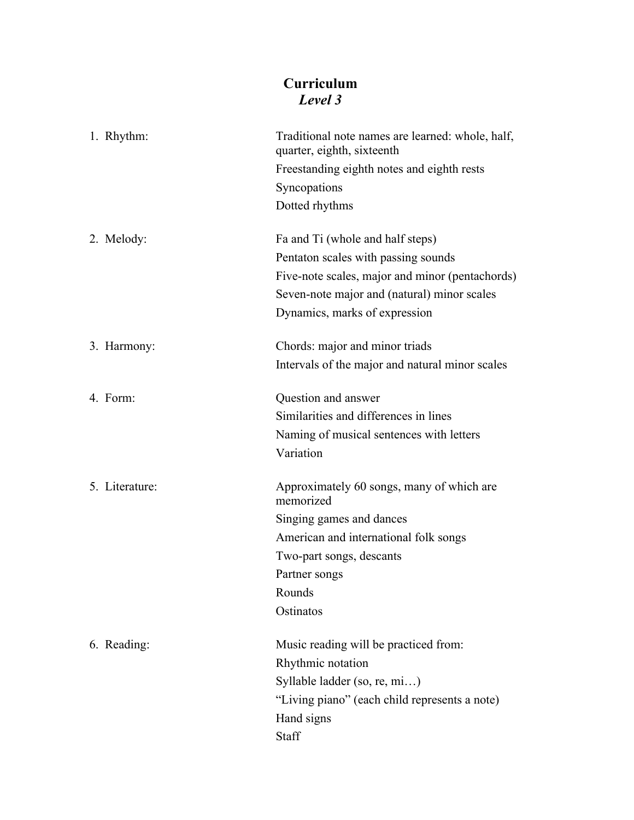### **Curriculum** *Level 3*

| 1. Rhythm:     | Traditional note names are learned: whole, half,<br>quarter, eighth, sixteenth |
|----------------|--------------------------------------------------------------------------------|
|                | Freestanding eighth notes and eighth rests                                     |
|                | Syncopations                                                                   |
|                | Dotted rhythms                                                                 |
| 2. Melody:     | Fa and Ti (whole and half steps)                                               |
|                | Pentaton scales with passing sounds                                            |
|                | Five-note scales, major and minor (pentachords)                                |
|                | Seven-note major and (natural) minor scales                                    |
|                | Dynamics, marks of expression                                                  |
| 3. Harmony:    | Chords: major and minor triads                                                 |
|                | Intervals of the major and natural minor scales                                |
| 4. Form:       | Question and answer                                                            |
|                | Similarities and differences in lines                                          |
|                | Naming of musical sentences with letters                                       |
|                | Variation                                                                      |
| 5. Literature: | Approximately 60 songs, many of which are<br>memorized                         |
|                | Singing games and dances                                                       |
|                | American and international folk songs                                          |
|                | Two-part songs, descants                                                       |
|                | Partner songs                                                                  |
|                | Rounds                                                                         |
|                | Ostinatos                                                                      |
| 6. Reading:    | Music reading will be practiced from:                                          |
|                | Rhythmic notation                                                              |
|                | Syllable ladder (so, re, mi)                                                   |
|                | "Living piano" (each child represents a note)                                  |
|                | Hand signs                                                                     |
|                | Staff                                                                          |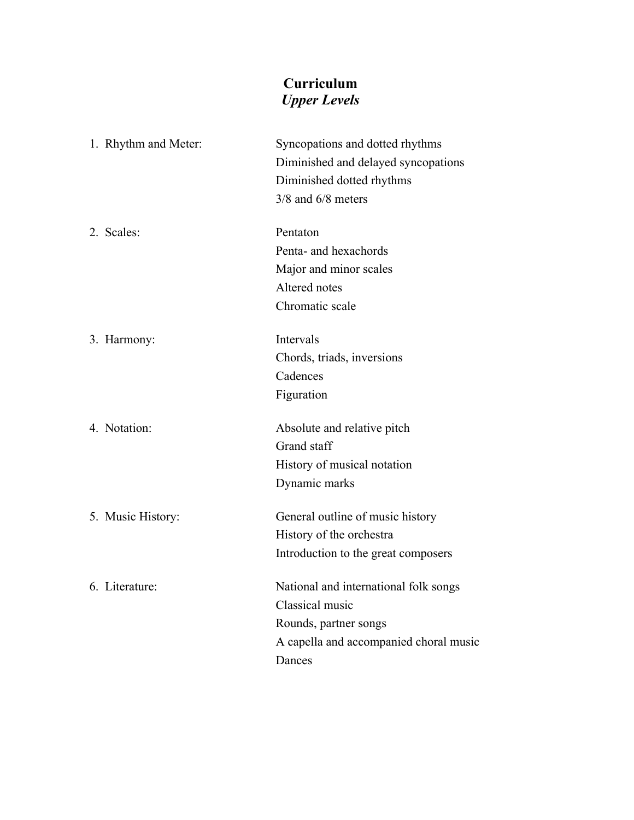# **Curriculum** *Upper Levels*

| 1. Rhythm and Meter: | Syncopations and dotted rhythms        |
|----------------------|----------------------------------------|
|                      | Diminished and delayed syncopations    |
|                      | Diminished dotted rhythms              |
|                      | $3/8$ and $6/8$ meters                 |
| 2. Scales:           | Pentaton                               |
|                      | Penta- and hexachords                  |
|                      | Major and minor scales                 |
|                      | Altered notes                          |
|                      | Chromatic scale                        |
| 3. Harmony:          | Intervals                              |
|                      | Chords, triads, inversions             |
|                      | Cadences                               |
|                      | Figuration                             |
| 4. Notation:         | Absolute and relative pitch            |
|                      | Grand staff                            |
|                      | History of musical notation            |
|                      | Dynamic marks                          |
| 5. Music History:    | General outline of music history       |
|                      | History of the orchestra               |
|                      | Introduction to the great composers    |
| 6. Literature:       | National and international folk songs  |
|                      | Classical music                        |
|                      | Rounds, partner songs                  |
|                      | A capella and accompanied choral music |
|                      | Dances                                 |
|                      |                                        |